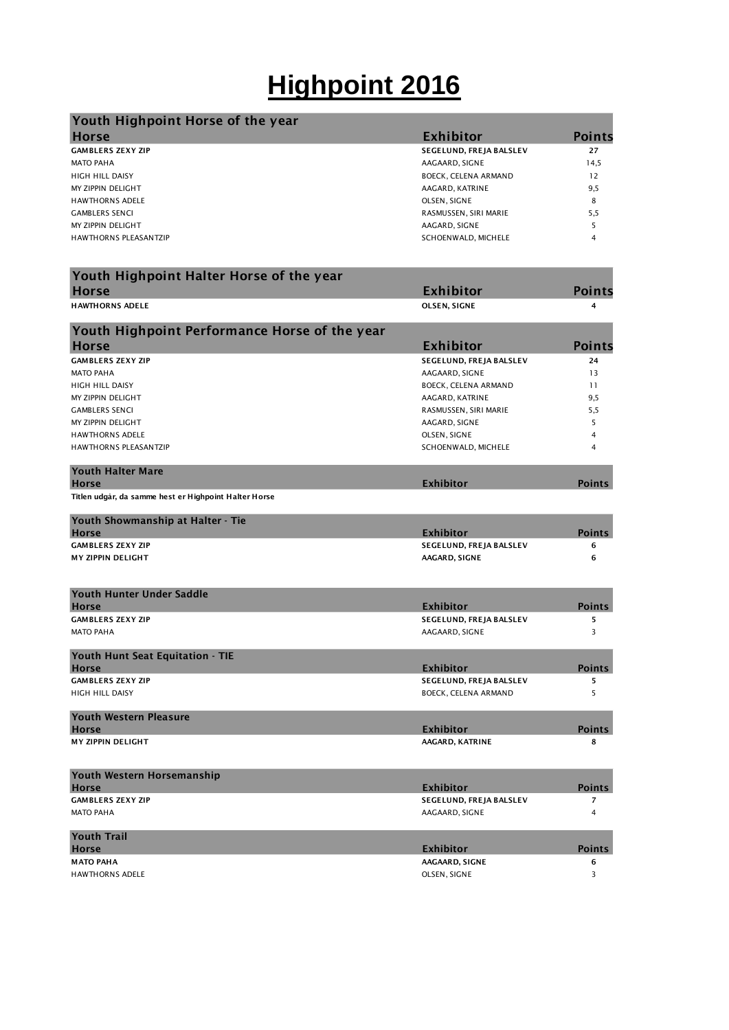## **Highpoint 2016**

| Youth Highpoint Horse of the year |                         |               |
|-----------------------------------|-------------------------|---------------|
| <b>Horse</b>                      | Exhibitor               | <b>Points</b> |
| <b>GAMBLERS ZEXY ZIP</b>          | SEGELUND, FREJA BALSLEV | 27            |
| <b>MATO PAHA</b>                  | AAGAARD, SIGNE          | 14,5          |
| <b>HIGH HILL DAISY</b>            | BOECK, CELENA ARMAND    | 12            |
| MY ZIPPIN DELIGHT                 | AAGARD, KATRINE         | 9,5           |
| <b>HAWTHORNS ADELE</b>            | OLSEN, SIGNE            | 8             |
| <b>GAMBLERS SENCI</b>             | RASMUSSEN, SIRI MARIE   | 5,5           |
| MY ZIPPIN DELIGHT                 | AAGARD, SIGNE           |               |
| <b>HAWTHORNS PLEASANTZIP</b>      | SCHOENWALD, MICHELE     | 4             |

| Youth Highpoint Halter Horse of the year              |                                             |                         |
|-------------------------------------------------------|---------------------------------------------|-------------------------|
| <b>Horse</b>                                          | <b>Exhibitor</b>                            | Points                  |
| <b>HAWTHORNS ADELE</b>                                | OLSEN, SIGNE                                | 4                       |
| Youth Highpoint Performance Horse of the year         |                                             |                         |
| <b>Horse</b>                                          | <b>Exhibitor</b>                            | <b>Points</b>           |
| <b>GAMBLERS ZEXY ZIP</b>                              | SEGELUND, FREJA BALSLEV                     | 24                      |
| <b>MATO PAHA</b>                                      | AAGAARD, SIGNE                              | 13                      |
| HIGH HILL DAISY                                       | BOECK, CELENA ARMAND                        | 11                      |
| MY ZIPPIN DELIGHT                                     | AAGARD, KATRINE                             | 9,5                     |
| <b>GAMBLERS SENCI</b>                                 | RASMUSSEN, SIRI MARIE                       | 5,5                     |
| MY ZIPPIN DELIGHT                                     | AAGARD, SIGNE                               | 5                       |
| <b>HAWTHORNS ADELE</b>                                | OLSEN, SIGNE                                | $\overline{4}$          |
| <b>HAWTHORNS PLEASANTZIP</b>                          | SCHOENWALD, MICHELE                         | 4                       |
| <b>Youth Halter Mare</b><br><b>Horse</b>              | <b>Exhibitor</b>                            | <b>Points</b>           |
| Titlen udgår, da samme hest er Highpoint Halter Horse |                                             |                         |
| Youth Showmanship at Halter - Tie                     |                                             |                         |
| <b>Horse</b>                                          | <b>Exhibitor</b>                            | <b>Points</b>           |
| <b>GAMBLERS ZEXY ZIP</b>                              | SEGELUND, FREJA BALSLEV                     | 6                       |
| <b>MY ZIPPIN DELIGHT</b>                              | AAGARD, SIGNE                               | 6                       |
|                                                       |                                             |                         |
| <b>Youth Hunter Under Saddle</b>                      |                                             |                         |
| <b>Horse</b>                                          | <b>Exhibitor</b>                            | <b>Points</b>           |
| <b>GAMBLERS ZEXY ZIP</b>                              | SEGELUND, FREJA BALSLEV                     | 5                       |
| <b>MATO PAHA</b>                                      | AAGAARD, SIGNE                              | 3                       |
| Youth Hunt Seat Equitation - TIE<br><b>Horse</b>      | <b>Exhibitor</b>                            | <b>Points</b>           |
| <b>GAMBLERS ZEXY ZIP</b>                              | SEGELUND, FREJA BALSLEV                     | 5                       |
| <b>HIGH HILL DAISY</b>                                | <b>BOECK, CELENA ARMAND</b>                 | 5                       |
|                                                       |                                             |                         |
| <b>Youth Western Pleasure</b><br><b>Horse</b>         | <b>Exhibitor</b>                            | <b>Points</b>           |
| <b>MY ZIPPIN DELIGHT</b>                              | AAGARD, KATRINE                             | 8                       |
|                                                       |                                             |                         |
| Youth Western Horsemanship                            |                                             | <b>Points</b>           |
| <b>Horse</b><br><b>GAMBLERS ZEXY ZIP</b>              | <b>Exhibitor</b><br>SEGELUND, FREJA BALSLEV | 7                       |
| <b>MATO PAHA</b>                                      | AAGAARD, SIGNE                              | $\overline{4}$          |
|                                                       |                                             |                         |
| <b>Youth Trail</b><br><b>Horse</b>                    | <b>Exhibitor</b>                            | <b>Points</b>           |
| <b>MATO PAHA</b>                                      | AAGAARD, SIGNE                              | 6                       |
| <b>HAWTHORNS ADELE</b>                                | OLSEN, SIGNE                                | $\overline{\mathbf{3}}$ |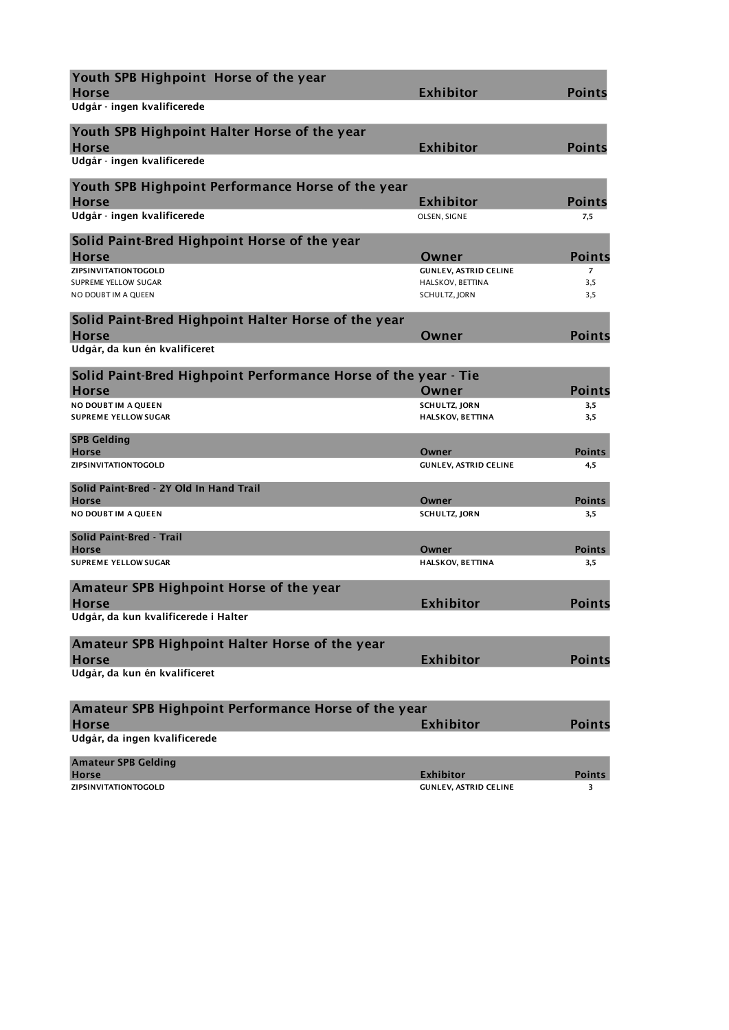| Youth SPB Highpoint Horse of the year<br><b>Horse</b>             | <b>Exhibitor</b>                  | <b>Points</b>  |
|-------------------------------------------------------------------|-----------------------------------|----------------|
| Udgår - ingen kvalificerede                                       |                                   |                |
| Youth SPB Highpoint Halter Horse of the year<br><b>Horse</b>      | Exhibitor                         | <b>Points</b>  |
| Udgår - ingen kvalificerede                                       |                                   |                |
| Youth SPB Highpoint Performance Horse of the year<br><b>Horse</b> | <b>Exhibitor</b>                  | <b>Points</b>  |
| Udgår - ingen kvalificerede                                       | OLSEN, SIGNE                      | 7,5            |
| Solid Paint-Bred Highpoint Horse of the year<br><b>Horse</b>      | Owner                             | <b>Points</b>  |
| ZIPSINVITATIONTOGOLD                                              | <b>GUNLEV, ASTRID CELINE</b>      | $\overline{7}$ |
| SUPREME YELLOW SUGAR<br>NO DOUBT IM A QUEEN                       | HALSKOV, BETTINA<br>SCHULTZ, JORN | 3,5<br>3,5     |
| Solid Paint-Bred Highpoint Halter Horse of the year               |                                   |                |
| <b>Horse</b><br>Udgår, da kun én kvalificeret                     | Owner                             | <b>Points</b>  |
| Solid Paint-Bred Highpoint Performance Horse of the year - Tie    |                                   |                |
| <b>Horse</b>                                                      | Owner                             | <b>Points</b>  |
| <b>NO DOUBT IM A OUEEN</b>                                        | <b>SCHULTZ, JORN</b>              | 3,5            |
| <b>SUPREME YELLOW SUGAR</b>                                       | <b>HALSKOV, BETTINA</b>           | 3,5            |
| <b>SPB Gelding</b><br><b>Horse</b>                                | Owner                             | <b>Points</b>  |
| ZIPSINVITATIONTOGOLD                                              | <b>GUNLEV, ASTRID CELINE</b>      | 4,5            |
| Solid Paint-Bred - 2Y Old In Hand Trail                           |                                   |                |
| <b>Horse</b>                                                      | Owner                             | Points         |
| NO DOUBT IM A QUEEN                                               | SCHULTZ, JORN                     | 3,5            |
| Solid Paint-Bred - Trail<br><b>Horse</b>                          | Owner                             | <b>Points</b>  |
| <b>SUPREME YELLOW SUGAR</b>                                       | <b>HALSKOV, BETTINA</b>           | 3,5            |
| Amateur SPB Highpoint Horse of the year                           |                                   |                |
| <b>Horse</b>                                                      | <b>Exhibitor</b>                  | <b>Points</b>  |
| Udgår, da kun kvalificerede i Halter                              |                                   |                |
| Amateur SPB Highpoint Halter Horse of the year                    |                                   |                |
| <b>Horse</b><br>Udgår, da kun én kvalificeret                     | <b>Exhibitor</b>                  | <b>Points</b>  |
|                                                                   |                                   |                |
| Amateur SPB Highpoint Performance Horse of the year               |                                   |                |
| <b>Horse</b>                                                      | <b>Exhibitor</b>                  | <b>Points</b>  |
| Udgår, da ingen kvalificerede                                     |                                   |                |
| <b>Amateur SPB Gelding</b><br><b>Horse</b>                        | <b>Exhibitor</b>                  |                |
| <b>ZIPSINVITATIONTOGOLD</b>                                       | <b>GUNLEV, ASTRID CELINE</b>      | Points<br>3    |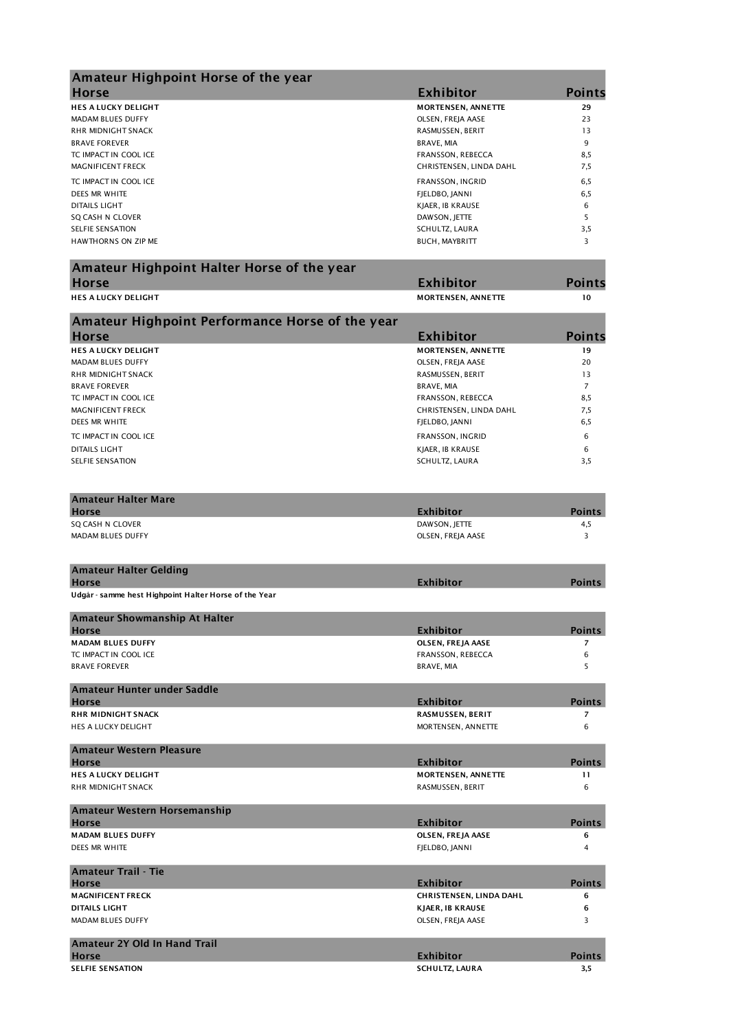|                           | <b>Points</b>                                                                                                                                                                                                                                                                                                                                                                                                                                                                                                      |
|---------------------------|--------------------------------------------------------------------------------------------------------------------------------------------------------------------------------------------------------------------------------------------------------------------------------------------------------------------------------------------------------------------------------------------------------------------------------------------------------------------------------------------------------------------|
| <b>MORTENSEN, ANNETTE</b> | 29                                                                                                                                                                                                                                                                                                                                                                                                                                                                                                                 |
| OLSEN, FREJA AASE         | 23                                                                                                                                                                                                                                                                                                                                                                                                                                                                                                                 |
| RASMUSSEN, BERIT          | 13                                                                                                                                                                                                                                                                                                                                                                                                                                                                                                                 |
| <b>BRAVE, MIA</b>         | 9                                                                                                                                                                                                                                                                                                                                                                                                                                                                                                                  |
| FRANSSON, REBECCA         | 8,5                                                                                                                                                                                                                                                                                                                                                                                                                                                                                                                |
| CHRISTENSEN, LINDA DAHL   | 7,5                                                                                                                                                                                                                                                                                                                                                                                                                                                                                                                |
| FRANSSON, INGRID          | 6,5                                                                                                                                                                                                                                                                                                                                                                                                                                                                                                                |
| FJELDBO, JANNI            | 6,5                                                                                                                                                                                                                                                                                                                                                                                                                                                                                                                |
| KJAER, IB KRAUSE          | 6                                                                                                                                                                                                                                                                                                                                                                                                                                                                                                                  |
| DAWSON, JETTE             | 5                                                                                                                                                                                                                                                                                                                                                                                                                                                                                                                  |
| SCHULTZ, LAURA            | 3,5                                                                                                                                                                                                                                                                                                                                                                                                                                                                                                                |
| <b>BUCH, MAYBRITT</b>     | 3                                                                                                                                                                                                                                                                                                                                                                                                                                                                                                                  |
|                           |                                                                                                                                                                                                                                                                                                                                                                                                                                                                                                                    |
|                           | <b>Points</b>                                                                                                                                                                                                                                                                                                                                                                                                                                                                                                      |
| <b>MORTENSEN, ANNETTE</b> | 10                                                                                                                                                                                                                                                                                                                                                                                                                                                                                                                 |
|                           |                                                                                                                                                                                                                                                                                                                                                                                                                                                                                                                    |
|                           | <b>Points</b>                                                                                                                                                                                                                                                                                                                                                                                                                                                                                                      |
|                           |                                                                                                                                                                                                                                                                                                                                                                                                                                                                                                                    |
|                           | 19                                                                                                                                                                                                                                                                                                                                                                                                                                                                                                                 |
|                           | 20                                                                                                                                                                                                                                                                                                                                                                                                                                                                                                                 |
|                           | 13                                                                                                                                                                                                                                                                                                                                                                                                                                                                                                                 |
|                           | $\overline{7}$                                                                                                                                                                                                                                                                                                                                                                                                                                                                                                     |
|                           | 8,5                                                                                                                                                                                                                                                                                                                                                                                                                                                                                                                |
|                           | 7,5                                                                                                                                                                                                                                                                                                                                                                                                                                                                                                                |
| FJELDBO, JANNI            | 6,5                                                                                                                                                                                                                                                                                                                                                                                                                                                                                                                |
| FRANSSON, INGRID          | 6                                                                                                                                                                                                                                                                                                                                                                                                                                                                                                                  |
| KJAER, IB KRAUSE          | 6                                                                                                                                                                                                                                                                                                                                                                                                                                                                                                                  |
| SCHULTZ, LAURA            | 3,5                                                                                                                                                                                                                                                                                                                                                                                                                                                                                                                |
|                           |                                                                                                                                                                                                                                                                                                                                                                                                                                                                                                                    |
|                           | <b>Points</b>                                                                                                                                                                                                                                                                                                                                                                                                                                                                                                      |
|                           |                                                                                                                                                                                                                                                                                                                                                                                                                                                                                                                    |
|                           | 4,5                                                                                                                                                                                                                                                                                                                                                                                                                                                                                                                |
|                           | 3                                                                                                                                                                                                                                                                                                                                                                                                                                                                                                                  |
|                           |                                                                                                                                                                                                                                                                                                                                                                                                                                                                                                                    |
| <b>Exhibitor</b>          | <b>Points</b>                                                                                                                                                                                                                                                                                                                                                                                                                                                                                                      |
|                           |                                                                                                                                                                                                                                                                                                                                                                                                                                                                                                                    |
|                           | <b>Points</b>                                                                                                                                                                                                                                                                                                                                                                                                                                                                                                      |
|                           | $\overline{7}$                                                                                                                                                                                                                                                                                                                                                                                                                                                                                                     |
|                           |                                                                                                                                                                                                                                                                                                                                                                                                                                                                                                                    |
|                           | 6<br>5                                                                                                                                                                                                                                                                                                                                                                                                                                                                                                             |
|                           |                                                                                                                                                                                                                                                                                                                                                                                                                                                                                                                    |
|                           | <b>Points</b>                                                                                                                                                                                                                                                                                                                                                                                                                                                                                                      |
|                           |                                                                                                                                                                                                                                                                                                                                                                                                                                                                                                                    |
|                           | 7                                                                                                                                                                                                                                                                                                                                                                                                                                                                                                                  |
|                           | 6                                                                                                                                                                                                                                                                                                                                                                                                                                                                                                                  |
|                           | <b>Points</b>                                                                                                                                                                                                                                                                                                                                                                                                                                                                                                      |
|                           | 11                                                                                                                                                                                                                                                                                                                                                                                                                                                                                                                 |
| RASMUSSEN, BERIT          | 6                                                                                                                                                                                                                                                                                                                                                                                                                                                                                                                  |
|                           |                                                                                                                                                                                                                                                                                                                                                                                                                                                                                                                    |
| <b>Exhibitor</b>          | <b>Points</b>                                                                                                                                                                                                                                                                                                                                                                                                                                                                                                      |
| OLSEN, FREJA AASE         | 6                                                                                                                                                                                                                                                                                                                                                                                                                                                                                                                  |
| FJELDBO, JANNI            | 4                                                                                                                                                                                                                                                                                                                                                                                                                                                                                                                  |
|                           |                                                                                                                                                                                                                                                                                                                                                                                                                                                                                                                    |
| <b>Exhibitor</b>          | <b>Points</b>                                                                                                                                                                                                                                                                                                                                                                                                                                                                                                      |
| CHRISTENSEN, LINDA DAHL   | 6                                                                                                                                                                                                                                                                                                                                                                                                                                                                                                                  |
| <b>KJAER, IB KRAUSE</b>   | 6                                                                                                                                                                                                                                                                                                                                                                                                                                                                                                                  |
| OLSEN, FREJA AASE         | 3                                                                                                                                                                                                                                                                                                                                                                                                                                                                                                                  |
|                           |                                                                                                                                                                                                                                                                                                                                                                                                                                                                                                                    |
| <b>Exhibitor</b>          | <b>Points</b>                                                                                                                                                                                                                                                                                                                                                                                                                                                                                                      |
| <b>SCHULTZ, LAURA</b>     | 3,5                                                                                                                                                                                                                                                                                                                                                                                                                                                                                                                |
|                           | <b>Exhibitor</b><br><b>Exhibitor</b><br>Amateur Highpoint Performance Horse of the year<br><b>Exhibitor</b><br><b>MORTENSEN, ANNETTE</b><br>OLSEN, FREJA AASE<br>RASMUSSEN, BERIT<br><b>BRAVE, MIA</b><br>FRANSSON, REBECCA<br>CHRISTENSEN, LINDA DAHL<br><b>Exhibitor</b><br>DAWSON, JETTE<br>OLSEN, FREJA AASE<br><b>Exhibitor</b><br>OLSEN, FREJA AASE<br>FRANSSON, REBECCA<br><b>BRAVE, MIA</b><br><b>Exhibitor</b><br>RASMUSSEN, BERIT<br>MORTENSEN, ANNETTE<br><b>Exhibitor</b><br><b>MORTENSEN, ANNETTE</b> |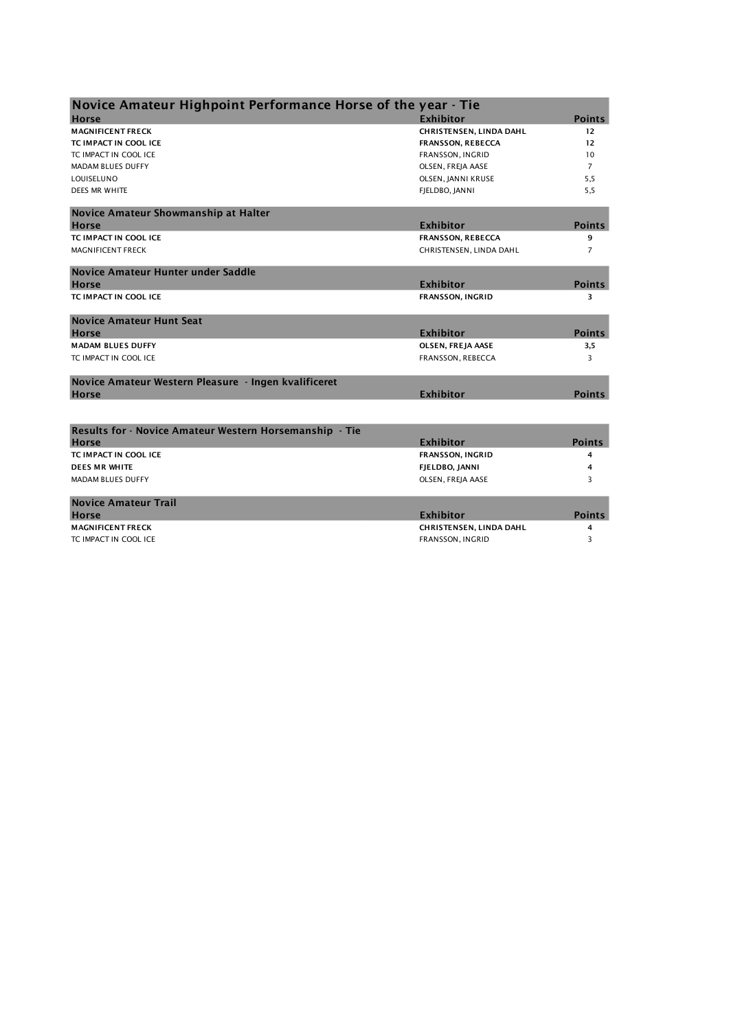| Novice Amateur Highpoint Performance Horse of the year - Tie |                          |                |
|--------------------------------------------------------------|--------------------------|----------------|
| <b>Horse</b>                                                 | <b>Exhibitor</b>         | <b>Points</b>  |
| <b>MAGNIFICENT FRECK</b>                                     | CHRISTENSEN, LINDA DAHL  | 12             |
| TC IMPACT IN COOL ICE                                        | <b>FRANSSON, REBECCA</b> | 12             |
| TC IMPACT IN COOL ICE                                        | FRANSSON, INGRID         | 10             |
| <b>MADAM BLUES DUFFY</b>                                     | OLSEN, FREJA AASE        | $\overline{7}$ |
| LOUISELUNO                                                   | OLSEN, JANNI KRUSE       | 5,5            |
| DEES MR WHITE                                                | FJELDBO, JANNI           | 5,5            |
| Novice Amateur Showmanship at Halter                         |                          |                |
| <b>Horse</b>                                                 | <b>Exhibitor</b>         | <b>Points</b>  |
| TC IMPACT IN COOL ICE                                        | <b>FRANSSON, REBECCA</b> | 9              |
| <b>MAGNIFICENT FRECK</b>                                     | CHRISTENSEN, LINDA DAHL  | 7              |
| Novice Amateur Hunter under Saddle                           |                          |                |
| <b>Horse</b>                                                 | <b>Exhibitor</b>         | <b>Points</b>  |
| TC IMPACT IN COOL ICE                                        | FRANSSON, INGRID         | 3              |
| <b>Novice Amateur Hunt Seat</b>                              |                          |                |
| <b>Horse</b>                                                 | <b>Exhibitor</b>         | <b>Points</b>  |
| <b>MADAM BLUES DUFFY</b>                                     | OLSEN, FREJA AASE        | 3,5            |
| TC IMPACT IN COOL ICE                                        | FRANSSON, REBECCA        | 3              |
| Novice Amateur Western Pleasure - Ingen kvalificeret         |                          |                |
| <b>Horse</b>                                                 | <b>Exhibitor</b>         | <b>Points</b>  |
|                                                              |                          |                |
| Results for - Novice Amateur Western Horsemanship - Tie      |                          |                |
| <b>Horse</b>                                                 | <b>Exhibitor</b>         | <b>Points</b>  |
| TC IMPACT IN COOL ICE                                        | <b>FRANSSON, INGRID</b>  | 4              |
| <b>DEES MR WHITE</b>                                         | FJELDBO, JANNI           | 4              |
| <b>MADAM BLUES DUFFY</b>                                     | OLSEN, FREJA AASE        | 3              |
| <b>Novice Amateur Trail</b>                                  |                          |                |
| <b>Horse</b>                                                 | <b>Exhibitor</b>         | <b>Points</b>  |
| <b>MAGNIFICENT FRECK</b>                                     | CHRISTENSEN, LINDA DAHL  | 4              |
| TC IMPACT IN COOL ICE                                        | FRANSSON, INGRID         | 3              |